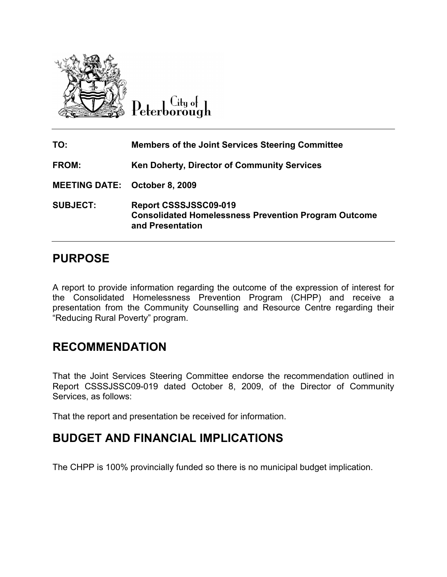

 $C$ ity of Peterborough

| TO:                                  | <b>Members of the Joint Services Steering Committee</b>                                                  |
|--------------------------------------|----------------------------------------------------------------------------------------------------------|
| <b>FROM:</b>                         | <b>Ken Doherty, Director of Community Services</b>                                                       |
| <b>MEETING DATE: October 8, 2009</b> |                                                                                                          |
| <b>SUBJECT:</b>                      | Report CSSSJSSC09-019<br><b>Consolidated Homelessness Prevention Program Outcome</b><br>and Presentation |

## PURPOSE

A report to provide information regarding the outcome of the expression of interest for the Consolidated Homelessness Prevention Program (CHPP) and receive a presentation from the Community Counselling and Resource Centre regarding their "Reducing Rural Poverty" program.

## RECOMMENDATION

That the Joint Services Steering Committee endorse the recommendation outlined in Report CSSSJSSC09-019 dated October 8, 2009, of the Director of Community Services, as follows:

That the report and presentation be received for information.

## BUDGET AND FINANCIAL IMPLICATIONS

The CHPP is 100% provincially funded so there is no municipal budget implication.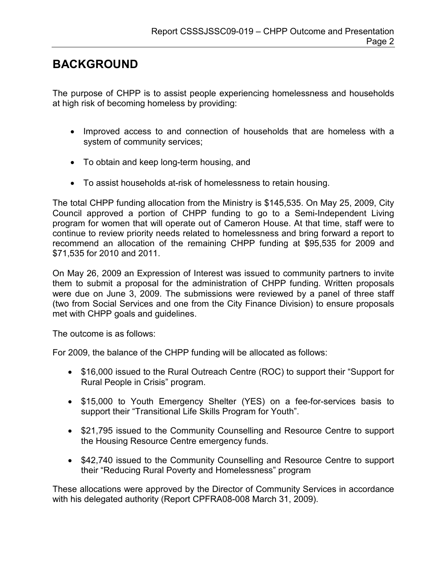## BACKGROUND

The purpose of CHPP is to assist people experiencing homelessness and households at high risk of becoming homeless by providing:

- Improved access to and connection of households that are homeless with a system of community services;
- To obtain and keep long-term housing, and
- To assist households at-risk of homelessness to retain housing.

The total CHPP funding allocation from the Ministry is \$145,535. On May 25, 2009, City Council approved a portion of CHPP funding to go to a Semi-Independent Living program for women that will operate out of Cameron House. At that time, staff were to continue to review priority needs related to homelessness and bring forward a report to recommend an allocation of the remaining CHPP funding at \$95,535 for 2009 and \$71,535 for 2010 and 2011.

On May 26, 2009 an Expression of Interest was issued to community partners to invite them to submit a proposal for the administration of CHPP funding. Written proposals were due on June 3, 2009. The submissions were reviewed by a panel of three staff (two from Social Services and one from the City Finance Division) to ensure proposals met with CHPP goals and guidelines.

The outcome is as follows:

For 2009, the balance of the CHPP funding will be allocated as follows:

- \$16,000 issued to the Rural Outreach Centre (ROC) to support their "Support for Rural People in Crisis" program.
- \$15,000 to Youth Emergency Shelter (YES) on a fee-for-services basis to support their "Transitional Life Skills Program for Youth".
- \$21,795 issued to the Community Counselling and Resource Centre to support the Housing Resource Centre emergency funds.
- \$42,740 issued to the Community Counselling and Resource Centre to support their "Reducing Rural Poverty and Homelessness" program

These allocations were approved by the Director of Community Services in accordance with his delegated authority (Report CPFRA08-008 March 31, 2009).